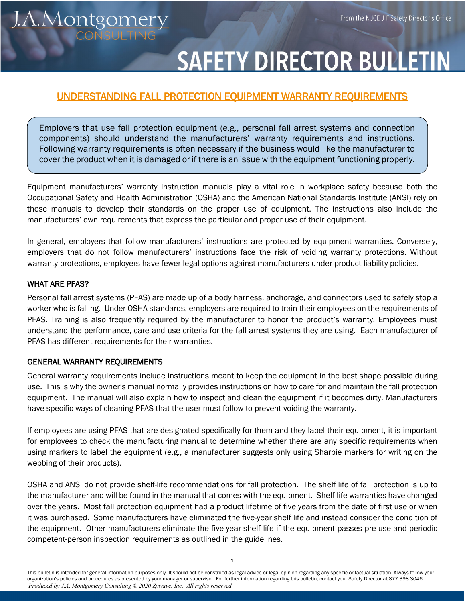# **SAFETY DIRECTOR BULLETII**

# UNDERSTANDING FALL PROTECTION EQUIPMENT WARRANTY REQUIREMENTS

Employers that use fall protection equipment (e.g., personal fall arrest systems and connection components) should understand the manufacturers' warranty requirements and instructions. Following warranty requirements is often necessary if the business would like the manufacturer to cover the product when it is damaged or if there is an issue with the equipment functioning properly.

Equipment manufacturers' warranty instruction manuals play a vital role in workplace safety because both the Occupational Safety and Health Administration (OSHA) and the American National Standards Institute (ANSI) rely on these manuals to develop their standards on the proper use of equipment. The instructions also include the manufacturers' own requirements that express the particular and proper use of their equipment.

In general, employers that follow manufacturers' instructions are protected by equipment warranties. Conversely, employers that do not follow manufacturers' instructions face the risk of voiding warranty protections. Without warranty protections, employers have fewer legal options against manufacturers under product liability policies.

#### WHAT ARE PFAS?

Personal fall arrest systems (PFAS) are made up of a body harness, anchorage, and connectors used to safely stop a worker who is falling. Under OSHA standards, employers are required to train their employees on the requirements of PFAS. Training is also frequently required by the manufacturer to honor the product's warranty. Employees must understand the performance, care and use criteria for the fall arrest systems they are using. Each manufacturer of PFAS has different requirements for their warranties.

#### GENERAL WARRANTY REQUIREMENTS

<u>I.A.Montgomery</u>

General warranty requirements include instructions meant to keep the equipment in the best shape possible during use. This is why the owner's manual normally provides instructions on how to care for and maintain the fall protection equipment. The manual will also explain how to inspect and clean the equipment if it becomes dirty. Manufacturers have specific ways of cleaning PFAS that the user must follow to prevent voiding the warranty.

If employees are using PFAS that are designated specifically for them and they label their equipment, it is important for employees to check the manufacturing manual to determine whether there are any specific requirements when using markers to label the equipment (e.g., a manufacturer suggests only using Sharpie markers for writing on the webbing of their products).

OSHA and ANSI do not provide shelf-life recommendations for fall protection. The shelf life of fall protection is up to the manufacturer and will be found in the manual that comes with the equipment. Shelf-life warranties have changed over the years. Most fall protection equipment had a product lifetime of five years from the date of first use or when it was purchased. Some manufacturers have eliminated the five-year shelf life and instead consider the condition of the equipment. Other manufacturers eliminate the five-year shelf life if the equipment passes pre-use and periodic competent-person inspection requirements as outlined in the guidelines.